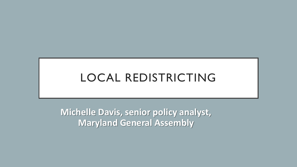#### LOCAL REDISTRICTING

**Michelle Davis, senior policy analyst, Maryland General Assembly**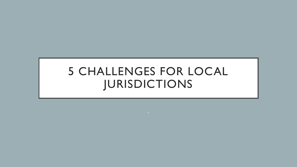#### 5 CHALLENGES FOR LOCAL JURISDICTIONS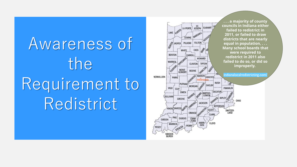Awareness of the Requirement to Redistrict

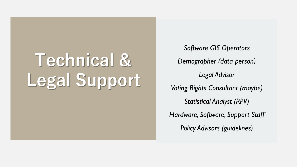# **Technical & Legal Support**

*Software GIS Operators Demographer (data person) Legal Advisor Voting Rights Consultant (maybe) Statistical Analyst (RPV) Hardware, Software, Support Staff Policy Advisors (guidelines)*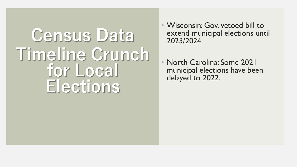# Census Data **Timeline Crunch for Local Elections**

- Wisconsin: Gov. vetoed bill to extend municipal elections until 2023/2024
- North Carolina: Some 2021 municipal elections have been delayed to 2022.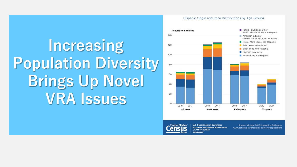# **Increasing Population Diversity Brings Up Novel VRA Issues**

#### Hispanic Origin and Race Distributions by Age Groups





U.S. Department of Commerce **Economics and Statistics Administration U.S. CENSUS BUREAU** census.gov

Source: Vintage 2017 Population Estimates www.census.gov/programs-surveys/popest.html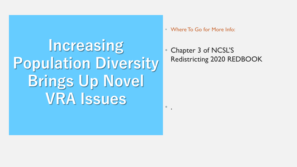**Increasing Population Diversity Brings Up Novel VRA Issues**

• Where To Go for More Info:

 $\bullet$  .

• Chapter 3 of NCSL'S Redistricting 2020 REDBOOK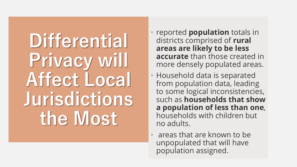**Differential Privacy will Affect Local Jurisdictions the Most**

- reported **population** totals in districts comprised of **rural areas are likely to be less accurate** than those created in more densely populated areas.
- Household data is separated from population data, leading to some logical inconsistencies, such as **households that show a population of less than one**, households with children but no adults.
- areas that are known to be unpopulated that will have population assigned.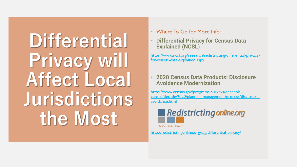**Differential Privacy will Affect Local Jurisdictions the Most**

- Where To Go for More Info:
- **Differential Privacy for Census Data Explained (NCSL)**

[https://www.ncsl.org/research/redistricting/differential-privacy](https://www.ncsl.org/research/redistricting/differential-privacy-for-census-data-explained.aspx)for-census-data-explained.aspx

• **2020 Census Data Products: Disclosure Avoidance Modernization**

https://www.census.gov/programs-surveys/decennial[census/decade/2020/planning-management/process/disclosure](https://www.census.gov/programs-surveys/decennial-census/decade/2020/planning-management/process/disclosure-avoidance.html)avoidance.html



**Education-Tools - Resources** 

<http://redistrictingonline.org/tag/differential-privacy/>